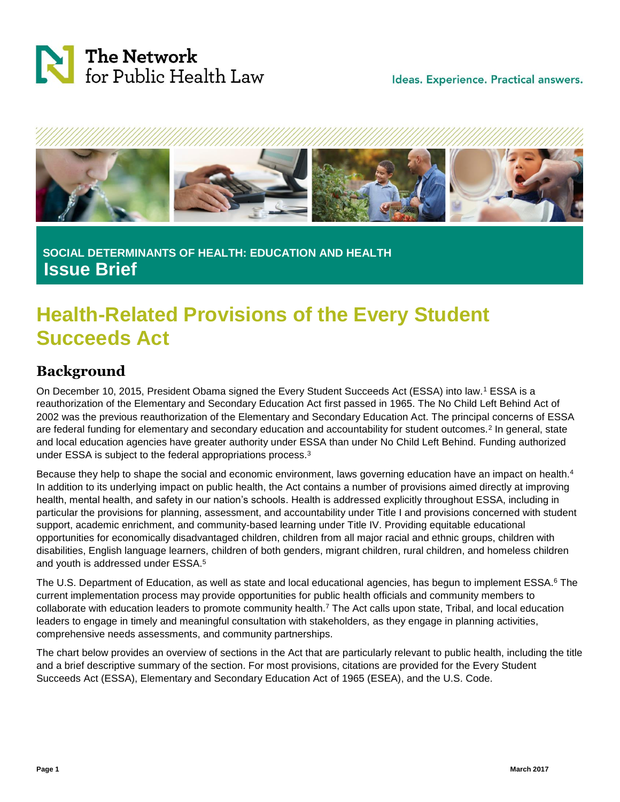



**SOCIAL DETERMINANTS OF HEALTH: EDUCATION AND HEALTH Issue Brief**

# **Health-Related Provisions of the Every Student Succeeds Act**

### **Background**

On December 10, 2015, President Obama signed the Every Student Succeeds Act (ESSA) into law.<sup>1</sup> ESSA is a reauthorization of the Elementary and Secondary Education Act first passed in 1965. The No Child Left Behind Act of 2002 was the previous reauthorization of the Elementary and Secondary Education Act. The principal concerns of ESSA are federal funding for elementary and secondary education and accountability for student outcomes.<sup>2</sup> In general, state and local education agencies have greater authority under ESSA than under No Child Left Behind. Funding authorized under ESSA is subject to the federal appropriations process.<sup>3</sup>

Because they help to shape the social and economic environment, laws governing education have an impact on health.<sup>4</sup> In addition to its underlying impact on public health, the Act contains a number of provisions aimed directly at improving health, mental health, and safety in our nation's schools. Health is addressed explicitly throughout ESSA, including in particular the provisions for planning, assessment, and accountability under Title I and provisions concerned with student support, academic enrichment, and community-based learning under Title IV. Providing equitable educational opportunities for economically disadvantaged children, children from all major racial and ethnic groups, children with disabilities, English language learners, children of both genders, migrant children, rural children, and homeless children and youth is addressed under ESSA.<sup>5</sup>

The U.S. Department of Education, as well as state and local educational agencies, has begun to implement ESSA.<sup>6</sup> The current implementation process may provide opportunities for public health officials and community members to collaborate with education leaders to promote community health.<sup>7</sup> The Act calls upon state, Tribal, and local education leaders to engage in timely and meaningful consultation with stakeholders, as they engage in planning activities, comprehensive needs assessments, and community partnerships.

The chart below provides an overview of sections in the Act that are particularly relevant to public health, including the title and a brief descriptive summary of the section. For most provisions, citations are provided for the Every Student Succeeds Act (ESSA), Elementary and Secondary Education Act of 1965 (ESEA), and the U.S. Code.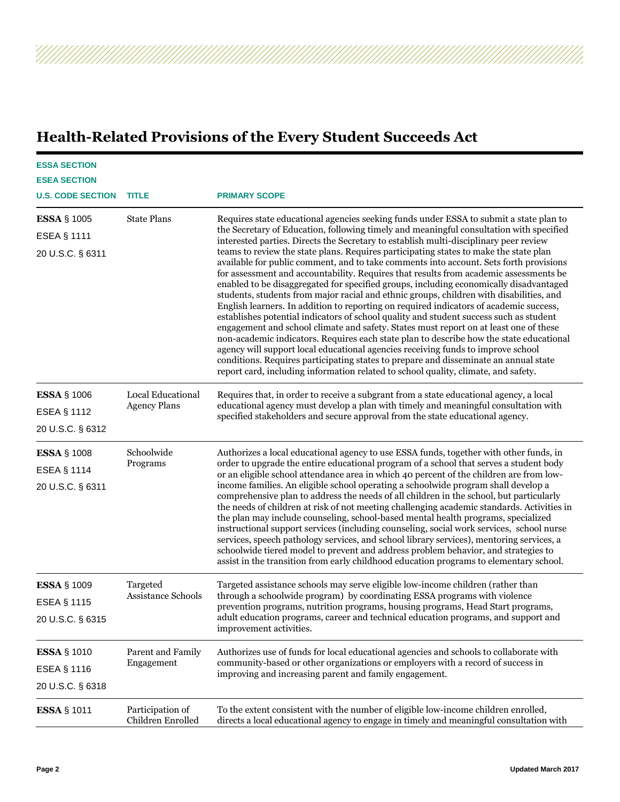## **Health-Related Provisions of the Every Student Succeeds Act**

A A A A A A A A A A A A A A A A A A

| <b>ESSA SECTION</b><br><b>ESEA SECTION</b><br><b>U.S. CODE SECTION</b> | <b>TITLE</b>                             | <b>PRIMARY SCOPE</b>                                                                                                                                                                                                                                                                                                                                                                                                                                                                                                                                                                                                                                                                                                                                                                                                                                                                                                                                                                                                                                                                                                                                                                                                                                                                                                                                                                  |
|------------------------------------------------------------------------|------------------------------------------|---------------------------------------------------------------------------------------------------------------------------------------------------------------------------------------------------------------------------------------------------------------------------------------------------------------------------------------------------------------------------------------------------------------------------------------------------------------------------------------------------------------------------------------------------------------------------------------------------------------------------------------------------------------------------------------------------------------------------------------------------------------------------------------------------------------------------------------------------------------------------------------------------------------------------------------------------------------------------------------------------------------------------------------------------------------------------------------------------------------------------------------------------------------------------------------------------------------------------------------------------------------------------------------------------------------------------------------------------------------------------------------|
| <b>ESSA § 1005</b><br><b>ESEA § 1111</b><br>20 U.S.C. § 6311           | <b>State Plans</b>                       | Requires state educational agencies seeking funds under ESSA to submit a state plan to<br>the Secretary of Education, following timely and meaningful consultation with specified<br>interested parties. Directs the Secretary to establish multi-disciplinary peer review<br>teams to review the state plans. Requires participating states to make the state plan<br>available for public comment, and to take comments into account. Sets forth provisions<br>for assessment and accountability. Requires that results from academic assessments be<br>enabled to be disaggregated for specified groups, including economically disadvantaged<br>students, students from major racial and ethnic groups, children with disabilities, and<br>English learners. In addition to reporting on required indicators of academic success,<br>establishes potential indicators of school quality and student success such as student<br>engagement and school climate and safety. States must report on at least one of these<br>non-academic indicators. Requires each state plan to describe how the state educational<br>agency will support local educational agencies receiving funds to improve school<br>conditions. Requires participating states to prepare and disseminate an annual state<br>report card, including information related to school quality, climate, and safety. |
| <b>ESSA § 1006</b><br>ESEA § 1112<br>20 U.S.C. § 6312                  | Local Educational<br><b>Agency Plans</b> | Requires that, in order to receive a subgrant from a state educational agency, a local<br>educational agency must develop a plan with timely and meaningful consultation with<br>specified stakeholders and secure approval from the state educational agency.                                                                                                                                                                                                                                                                                                                                                                                                                                                                                                                                                                                                                                                                                                                                                                                                                                                                                                                                                                                                                                                                                                                        |
| <b>ESSA § 1008</b><br><b>ESEA § 1114</b><br>20 U.S.C. § 6311           | Schoolwide<br>Programs                   | Authorizes a local educational agency to use ESSA funds, together with other funds, in<br>order to upgrade the entire educational program of a school that serves a student body<br>or an eligible school attendance area in which 40 percent of the children are from low-<br>income families. An eligible school operating a schoolwide program shall develop a<br>comprehensive plan to address the needs of all children in the school, but particularly<br>the needs of children at risk of not meeting challenging academic standards. Activities in<br>the plan may include counseling, school-based mental health programs, specialized<br>instructional support services (including counseling, social work services, school nurse<br>services, speech pathology services, and school library services), mentoring services, a<br>schoolwide tiered model to prevent and address problem behavior, and strategies to<br>assist in the transition from early childhood education programs to elementary school.                                                                                                                                                                                                                                                                                                                                                               |
| <b>ESSA § 1009</b><br><b>ESEA § 1115</b><br>20 U.S.C. § 6315           | Targeted<br><b>Assistance Schools</b>    | Targeted assistance schools may serve eligible low-income children (rather than<br>through a schoolwide program) by coordinating ESSA programs with violence<br>prevention programs, nutrition programs, housing programs, Head Start programs,<br>adult education programs, career and technical education programs, and support and<br>improvement activities.                                                                                                                                                                                                                                                                                                                                                                                                                                                                                                                                                                                                                                                                                                                                                                                                                                                                                                                                                                                                                      |
| <b>ESSA § 1010</b><br>ESEA § 1116<br>20 U.S.C. § 6318                  | Parent and Family<br>Engagement          | Authorizes use of funds for local educational agencies and schools to collaborate with<br>community-based or other organizations or employers with a record of success in<br>improving and increasing parent and family engagement.                                                                                                                                                                                                                                                                                                                                                                                                                                                                                                                                                                                                                                                                                                                                                                                                                                                                                                                                                                                                                                                                                                                                                   |
| <b>ESSA § 1011</b>                                                     | Participation of<br>Children Enrolled    | To the extent consistent with the number of eligible low-income children enrolled,<br>directs a local educational agency to engage in timely and meaningful consultation with                                                                                                                                                                                                                                                                                                                                                                                                                                                                                                                                                                                                                                                                                                                                                                                                                                                                                                                                                                                                                                                                                                                                                                                                         |

Ž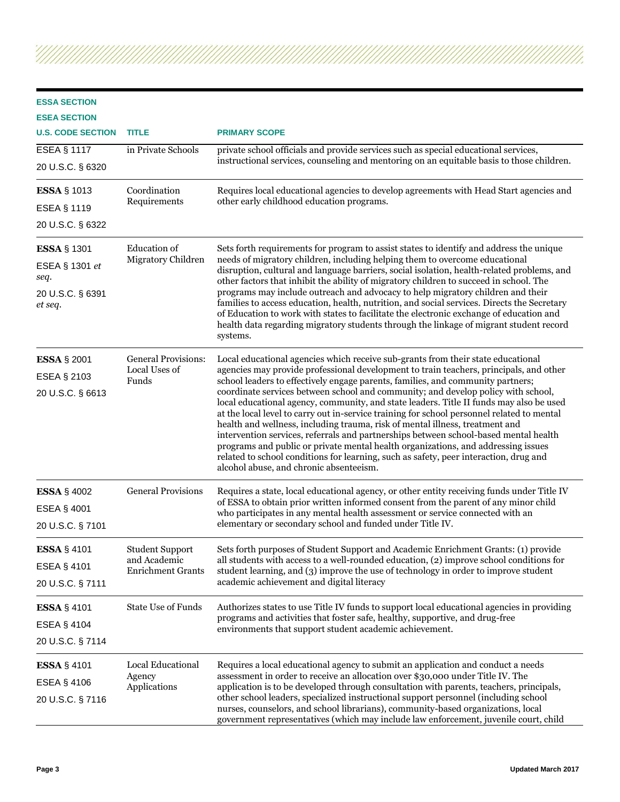| <b>ESSA SECTION</b><br><b>ESEA SECTION</b><br><b>U.S. CODE SECTION</b><br>ESEA § 1117<br>20 U.S.C. § 6320 | <b>TITLE</b><br>in Private Schools                                 | <b>PRIMARY SCOPE</b><br>private school officials and provide services such as special educational services,<br>instructional services, counseling and mentoring on an equitable basis to those children.                                                                                                                                                                                                                                                                                                                                                                                                                                                                                                                                                                                                                                                                                                                                     |
|-----------------------------------------------------------------------------------------------------------|--------------------------------------------------------------------|----------------------------------------------------------------------------------------------------------------------------------------------------------------------------------------------------------------------------------------------------------------------------------------------------------------------------------------------------------------------------------------------------------------------------------------------------------------------------------------------------------------------------------------------------------------------------------------------------------------------------------------------------------------------------------------------------------------------------------------------------------------------------------------------------------------------------------------------------------------------------------------------------------------------------------------------|
| <b>ESSA § 1013</b><br>ESEA § 1119<br>20 U.S.C. § 6322                                                     | Coordination<br>Requirements                                       | Requires local educational agencies to develop agreements with Head Start agencies and<br>other early childhood education programs.                                                                                                                                                                                                                                                                                                                                                                                                                                                                                                                                                                                                                                                                                                                                                                                                          |
| <b>ESSA § 1301</b><br>ESEA § 1301 et<br>seq.<br>20 U.S.C. § 6391<br>et seq.                               | <b>Education</b> of<br>Migratory Children                          | Sets forth requirements for program to assist states to identify and address the unique<br>needs of migratory children, including helping them to overcome educational<br>disruption, cultural and language barriers, social isolation, health-related problems, and<br>other factors that inhibit the ability of migratory children to succeed in school. The<br>programs may include outreach and advocacy to help migratory children and their<br>families to access education, health, nutrition, and social services. Directs the Secretary<br>of Education to work with states to facilitate the electronic exchange of education and<br>health data regarding migratory students through the linkage of migrant student record<br>systems.                                                                                                                                                                                            |
| <b>ESSA § 2001</b><br>ESEA § 2103<br>20 U.S.C. § 6613                                                     | <b>General Provisions:</b><br>Local Uses of<br>Funds               | Local educational agencies which receive sub-grants from their state educational<br>agencies may provide professional development to train teachers, principals, and other<br>school leaders to effectively engage parents, families, and community partners;<br>coordinate services between school and community; and develop policy with school,<br>local educational agency, community, and state leaders. Title II funds may also be used<br>at the local level to carry out in-service training for school personnel related to mental<br>health and wellness, including trauma, risk of mental illness, treatment and<br>intervention services, referrals and partnerships between school-based mental health<br>programs and public or private mental health organizations, and addressing issues<br>related to school conditions for learning, such as safety, peer interaction, drug and<br>alcohol abuse, and chronic absenteeism. |
| <b>ESSA § 4002</b><br>ESEA § 4001<br>20 U.S.C. § 7101                                                     | <b>General Provisions</b>                                          | Requires a state, local educational agency, or other entity receiving funds under Title IV<br>of ESSA to obtain prior written informed consent from the parent of any minor child<br>who participates in any mental health assessment or service connected with an<br>elementary or secondary school and funded under Title IV.                                                                                                                                                                                                                                                                                                                                                                                                                                                                                                                                                                                                              |
| <b>ESSA</b> § 4101<br>ESEA § 4101<br>20 U.S.C. § 7111                                                     | <b>Student Support</b><br>and Academic<br><b>Enrichment Grants</b> | Sets forth purposes of Student Support and Academic Enrichment Grants: (1) provide<br>all students with access to a well-rounded education, (2) improve school conditions for<br>student learning, and (3) improve the use of technology in order to improve student<br>academic achievement and digital literacy                                                                                                                                                                                                                                                                                                                                                                                                                                                                                                                                                                                                                            |
| <b>ESSA § 4101</b><br>ESEA § 4104<br>20 U.S.C. § 7114                                                     | <b>State Use of Funds</b>                                          | Authorizes states to use Title IV funds to support local educational agencies in providing<br>programs and activities that foster safe, healthy, supportive, and drug-free<br>environments that support student academic achievement.                                                                                                                                                                                                                                                                                                                                                                                                                                                                                                                                                                                                                                                                                                        |
| ESSA § 4101<br>ESEA § 4106<br>20 U.S.C. § 7116                                                            | Local Educational<br>Agency<br>Applications                        | Requires a local educational agency to submit an application and conduct a needs<br>assessment in order to receive an allocation over \$30,000 under Title IV. The<br>application is to be developed through consultation with parents, teachers, principals,<br>other school leaders, specialized instructional support personnel (including school<br>nurses, counselors, and school librarians), community-based organizations, local                                                                                                                                                                                                                                                                                                                                                                                                                                                                                                     |

government representatives (which may include law enforcement, juvenile court, child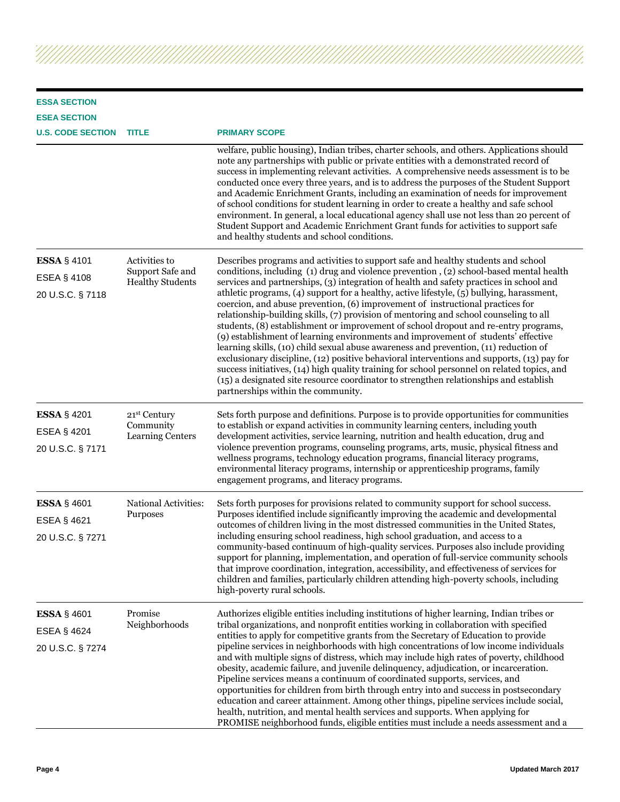| <b>ESSA SECTION</b>                                          |                                                              |                                                                                                                                                                                                                                                                                                                                                                                                                                                                                                                                                                                                                                                                                                                                                                                                                                                                                                                                                                                                                                                                                                                                                 |
|--------------------------------------------------------------|--------------------------------------------------------------|-------------------------------------------------------------------------------------------------------------------------------------------------------------------------------------------------------------------------------------------------------------------------------------------------------------------------------------------------------------------------------------------------------------------------------------------------------------------------------------------------------------------------------------------------------------------------------------------------------------------------------------------------------------------------------------------------------------------------------------------------------------------------------------------------------------------------------------------------------------------------------------------------------------------------------------------------------------------------------------------------------------------------------------------------------------------------------------------------------------------------------------------------|
| <b>ESEA SECTION</b>                                          |                                                              |                                                                                                                                                                                                                                                                                                                                                                                                                                                                                                                                                                                                                                                                                                                                                                                                                                                                                                                                                                                                                                                                                                                                                 |
| <b>U.S. CODE SECTION</b>                                     | <b>TITLE</b>                                                 | <b>PRIMARY SCOPE</b>                                                                                                                                                                                                                                                                                                                                                                                                                                                                                                                                                                                                                                                                                                                                                                                                                                                                                                                                                                                                                                                                                                                            |
|                                                              |                                                              | welfare, public housing), Indian tribes, charter schools, and others. Applications should<br>note any partnerships with public or private entities with a demonstrated record of<br>success in implementing relevant activities. A comprehensive needs assessment is to be<br>conducted once every three years, and is to address the purposes of the Student Support<br>and Academic Enrichment Grants, including an examination of needs for improvement<br>of school conditions for student learning in order to create a healthy and safe school<br>environment. In general, a local educational agency shall use not less than 20 percent of<br>Student Support and Academic Enrichment Grant funds for activities to support safe<br>and healthy students and school conditions.                                                                                                                                                                                                                                                                                                                                                          |
| <b>ESSA § 4101</b><br><b>ESEA § 4108</b><br>20 U.S.C. § 7118 | Activities to<br>Support Safe and<br><b>Healthy Students</b> | Describes programs and activities to support safe and healthy students and school<br>conditions, including (1) drug and violence prevention , (2) school-based mental health<br>services and partnerships, (3) integration of health and safety practices in school and<br>athletic programs, (4) support for a healthy, active lifestyle, (5) bullying, harassment,<br>coercion, and abuse prevention, (6) improvement of instructional practices for<br>relationship-building skills, (7) provision of mentoring and school counseling to all<br>students, (8) establishment or improvement of school dropout and re-entry programs,<br>(9) establishment of learning environments and improvement of students' effective<br>learning skills, (10) child sexual abuse awareness and prevention, (11) reduction of<br>exclusionary discipline, (12) positive behavioral interventions and supports, (13) pay for<br>success initiatives, (14) high quality training for school personnel on related topics, and<br>(15) a designated site resource coordinator to strengthen relationships and establish<br>partnerships within the community. |
| <b>ESSA § 4201</b><br>ESEA § 4201<br>20 U.S.C. § 7171        | 21st Century<br>Community<br>Learning Centers                | Sets forth purpose and definitions. Purpose is to provide opportunities for communities<br>to establish or expand activities in community learning centers, including youth<br>development activities, service learning, nutrition and health education, drug and<br>violence prevention programs, counseling programs, arts, music, physical fitness and<br>wellness programs, technology education programs, financial literacy programs,<br>environmental literacy programs, internship or apprenticeship programs, family<br>engagement programs, and literacy programs.                                                                                                                                                                                                                                                                                                                                                                                                                                                                                                                                                                    |
| <b>ESSA</b> § 4601<br><b>ESEA § 4621</b><br>20 U.S.C. § 7271 | National Activities:<br>Purposes                             | Sets forth purposes for provisions related to community support for school success.<br>Purposes identified include significantly improving the academic and developmental<br>outcomes of children living in the most distressed communities in the United States,<br>including ensuring school readiness, high school graduation, and access to a<br>community-based continuum of high-quality services. Purposes also include providing<br>support for planning, implementation, and operation of full-service community schools<br>that improve coordination, integration, accessibility, and effectiveness of services for<br>children and families, particularly children attending high-poverty schools, including<br>high-poverty rural schools.                                                                                                                                                                                                                                                                                                                                                                                          |
| <b>ESSA § 4601</b><br><b>ESEA § 4624</b><br>20 U.S.C. § 7274 | Promise<br>Neighborhoods                                     | Authorizes eligible entities including institutions of higher learning, Indian tribes or<br>tribal organizations, and nonprofit entities working in collaboration with specified<br>entities to apply for competitive grants from the Secretary of Education to provide<br>pipeline services in neighborhoods with high concentrations of low income individuals<br>and with multiple signs of distress, which may include high rates of poverty, childhood<br>obesity, academic failure, and juvenile delinquency, adjudication, or incarceration.<br>Pipeline services means a continuum of coordinated supports, services, and<br>opportunities for children from birth through entry into and success in postsecondary<br>education and career attainment. Among other things, pipeline services include social,<br>health, nutrition, and mental health services and supports. When applying for<br>PROMISE neighborhood funds, eligible entities must include a needs assessment and a                                                                                                                                                    |

Z,

'///

AAAAAAAAAAAAAAAA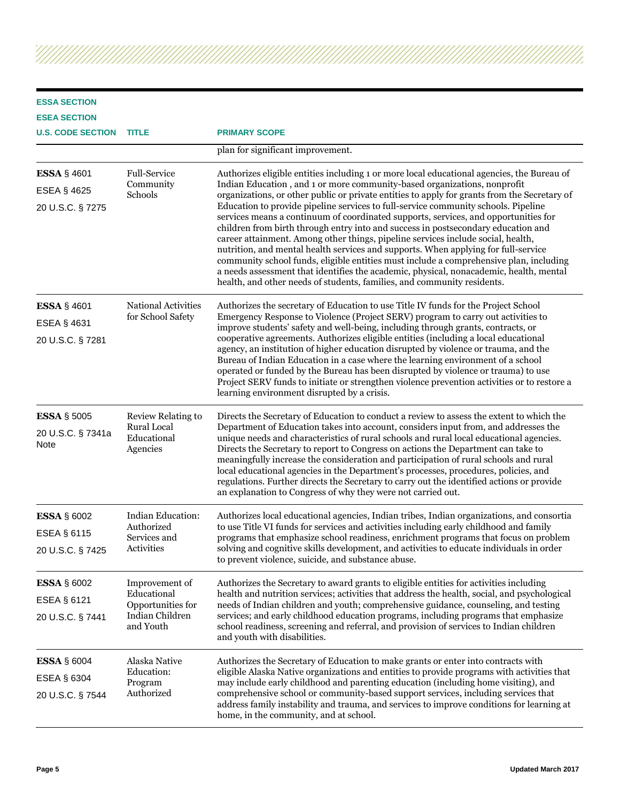#### **ESSA SECTION ESEA SECTION**

Ž

| <b>U.S. CODE SECTION</b>                                     | <b>TITLE</b>                                                                       | <b>PRIMARY SCOPE</b>                                                                                                                                                                                                                                                                                                                                                                                                                                                                                                                                                                                                                                                                                                                                                                                                                                                                                                                                                              |
|--------------------------------------------------------------|------------------------------------------------------------------------------------|-----------------------------------------------------------------------------------------------------------------------------------------------------------------------------------------------------------------------------------------------------------------------------------------------------------------------------------------------------------------------------------------------------------------------------------------------------------------------------------------------------------------------------------------------------------------------------------------------------------------------------------------------------------------------------------------------------------------------------------------------------------------------------------------------------------------------------------------------------------------------------------------------------------------------------------------------------------------------------------|
|                                                              |                                                                                    | plan for significant improvement.                                                                                                                                                                                                                                                                                                                                                                                                                                                                                                                                                                                                                                                                                                                                                                                                                                                                                                                                                 |
| <b>ESSA § 4601</b><br><b>ESEA § 4625</b><br>20 U.S.C. § 7275 | <b>Full-Service</b><br>Community<br>Schools                                        | Authorizes eligible entities including 1 or more local educational agencies, the Bureau of<br>Indian Education, and 1 or more community-based organizations, nonprofit<br>organizations, or other public or private entities to apply for grants from the Secretary of<br>Education to provide pipeline services to full-service community schools. Pipeline<br>services means a continuum of coordinated supports, services, and opportunities for<br>children from birth through entry into and success in postsecondary education and<br>career attainment. Among other things, pipeline services include social, health,<br>nutrition, and mental health services and supports. When applying for full-service<br>community school funds, eligible entities must include a comprehensive plan, including<br>a needs assessment that identifies the academic, physical, nonacademic, health, mental<br>health, and other needs of students, families, and community residents. |
| <b>ESSA § 4601</b><br>ESEA § 4631<br>20 U.S.C. § 7281        | <b>National Activities</b><br>for School Safety                                    | Authorizes the secretary of Education to use Title IV funds for the Project School<br>Emergency Response to Violence (Project SERV) program to carry out activities to<br>improve students' safety and well-being, including through grants, contracts, or<br>cooperative agreements. Authorizes eligible entities (including a local educational<br>agency, an institution of higher education disrupted by violence or trauma, and the<br>Bureau of Indian Education in a case where the learning environment of a school<br>operated or funded by the Bureau has been disrupted by violence or trauma) to use<br>Project SERV funds to initiate or strengthen violence prevention activities or to restore a<br>learning environment disrupted by a crisis.                                                                                                                                                                                                                    |
| <b>ESSA § 5005</b><br>20 U.S.C. § 7341a<br>Note              | Review Relating to<br>Rural Local<br>Educational<br>Agencies                       | Directs the Secretary of Education to conduct a review to assess the extent to which the<br>Department of Education takes into account, considers input from, and addresses the<br>unique needs and characteristics of rural schools and rural local educational agencies.<br>Directs the Secretary to report to Congress on actions the Department can take to<br>meaningfully increase the consideration and participation of rural schools and rural<br>local educational agencies in the Department's processes, procedures, policies, and<br>regulations. Further directs the Secretary to carry out the identified actions or provide<br>an explanation to Congress of why they were not carried out.                                                                                                                                                                                                                                                                       |
| <b>ESSA § 6002</b><br><b>ESEA § 6115</b><br>20 U.S.C. § 7425 | Indian Education:<br>Authorized<br>Services and<br><b>Activities</b>               | Authorizes local educational agencies, Indian tribes, Indian organizations, and consortia<br>to use Title VI funds for services and activities including early childhood and family<br>programs that emphasize school readiness, enrichment programs that focus on problem<br>solving and cognitive skills development, and activities to educate individuals in order<br>to prevent violence, suicide, and substance abuse.                                                                                                                                                                                                                                                                                                                                                                                                                                                                                                                                                      |
| <b>ESSA § 6002</b><br><b>ESEA § 6121</b><br>20 U.S.C. § 7441 | Improvement of<br>Educational<br>Opportunities for<br>Indian Children<br>and Youth | Authorizes the Secretary to award grants to eligible entities for activities including<br>health and nutrition services; activities that address the health, social, and psychological<br>needs of Indian children and youth; comprehensive guidance, counseling, and testing<br>services; and early childhood education programs, including programs that emphasize<br>school readiness, screening and referral, and provision of services to Indian children<br>and youth with disabilities.                                                                                                                                                                                                                                                                                                                                                                                                                                                                                    |
| <b>ESSA § 6004</b><br>ESEA § 6304<br>20 U.S.C. § 7544        | Alaska Native<br>Education:<br>Program<br>Authorized                               | Authorizes the Secretary of Education to make grants or enter into contracts with<br>eligible Alaska Native organizations and entities to provide programs with activities that<br>may include early childhood and parenting education (including home visiting), and<br>comprehensive school or community-based support services, including services that<br>address family instability and trauma, and services to improve conditions for learning at<br>home, in the community, and at school.                                                                                                                                                                                                                                                                                                                                                                                                                                                                                 |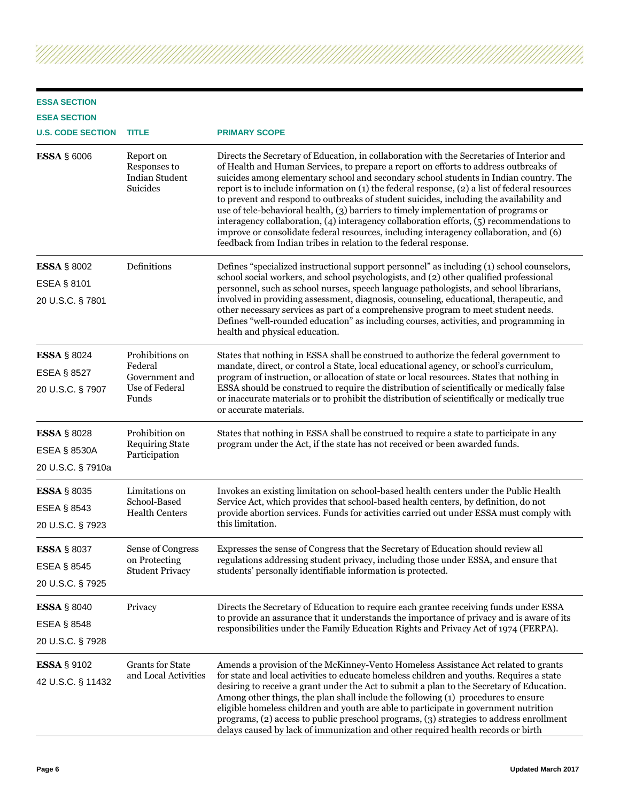#### **ESSA SECTION**

| <b>ESEA SECTION</b>                      |                                                                       |                                                                                                                                                                                                                                                                                                                                                                                                                                                                                                                                                                                                                                                                                                                                                                                                                         |
|------------------------------------------|-----------------------------------------------------------------------|-------------------------------------------------------------------------------------------------------------------------------------------------------------------------------------------------------------------------------------------------------------------------------------------------------------------------------------------------------------------------------------------------------------------------------------------------------------------------------------------------------------------------------------------------------------------------------------------------------------------------------------------------------------------------------------------------------------------------------------------------------------------------------------------------------------------------|
| <b>U.S. CODE SECTION</b>                 | <b>TITLE</b>                                                          | <b>PRIMARY SCOPE</b>                                                                                                                                                                                                                                                                                                                                                                                                                                                                                                                                                                                                                                                                                                                                                                                                    |
| <b>ESSA § 6006</b>                       | Report on<br>Responses to<br><b>Indian Student</b><br><b>Suicides</b> | Directs the Secretary of Education, in collaboration with the Secretaries of Interior and<br>of Health and Human Services, to prepare a report on efforts to address outbreaks of<br>suicides among elementary school and secondary school students in Indian country. The<br>report is to include information on (1) the federal response, (2) a list of federal resources<br>to prevent and respond to outbreaks of student suicides, including the availability and<br>use of tele-behavioral health, (3) barriers to timely implementation of programs or<br>interagency collaboration, (4) interagency collaboration efforts, (5) recommendations to<br>improve or consolidate federal resources, including interagency collaboration, and (6)<br>feedback from Indian tribes in relation to the federal response. |
| <b>ESSA § 8002</b>                       | Definitions                                                           | Defines "specialized instructional support personnel" as including (1) school counselors,<br>school social workers, and school psychologists, and (2) other qualified professional<br>personnel, such as school nurses, speech language pathologists, and school librarians,<br>involved in providing assessment, diagnosis, counseling, educational, therapeutic, and<br>other necessary services as part of a comprehensive program to meet student needs.<br>Defines "well-rounded education" as including courses, activities, and programming in<br>health and physical education.                                                                                                                                                                                                                                 |
| <b>ESEA § 8101</b><br>20 U.S.C. § 7801   |                                                                       |                                                                                                                                                                                                                                                                                                                                                                                                                                                                                                                                                                                                                                                                                                                                                                                                                         |
| <b>ESSA § 8024</b>                       | Prohibitions on                                                       | States that nothing in ESSA shall be construed to authorize the federal government to<br>mandate, direct, or control a State, local educational agency, or school's curriculum,<br>program of instruction, or allocation of state or local resources. States that nothing in<br>ESSA should be construed to require the distribution of scientifically or medically false<br>or inaccurate materials or to prohibit the distribution of scientifically or medically true<br>or accurate materials.                                                                                                                                                                                                                                                                                                                      |
| <b>ESEA § 8527</b><br>20 U.S.C. § 7907   | Federal<br>Government and<br>Use of Federal<br>Funds                  |                                                                                                                                                                                                                                                                                                                                                                                                                                                                                                                                                                                                                                                                                                                                                                                                                         |
| <b>ESSA</b> § 8028                       | Prohibition on<br><b>Requiring State</b>                              | States that nothing in ESSA shall be construed to require a state to participate in any<br>program under the Act, if the state has not received or been awarded funds.                                                                                                                                                                                                                                                                                                                                                                                                                                                                                                                                                                                                                                                  |
| <b>ESEA § 8530A</b><br>20 U.S.C. § 7910a | Participation                                                         |                                                                                                                                                                                                                                                                                                                                                                                                                                                                                                                                                                                                                                                                                                                                                                                                                         |
| <b>ESSA § 8035</b>                       | Limitations on                                                        | Invokes an existing limitation on school-based health centers under the Public Health                                                                                                                                                                                                                                                                                                                                                                                                                                                                                                                                                                                                                                                                                                                                   |
| <b>ESEA § 8543</b><br>20 U.S.C. § 7923   | School-Based<br><b>Health Centers</b>                                 | Service Act, which provides that school-based health centers, by definition, do not<br>provide abortion services. Funds for activities carried out under ESSA must comply with<br>this limitation.                                                                                                                                                                                                                                                                                                                                                                                                                                                                                                                                                                                                                      |
| <b>ESSA § 8037</b>                       | Sense of Congress                                                     | Expresses the sense of Congress that the Secretary of Education should review all                                                                                                                                                                                                                                                                                                                                                                                                                                                                                                                                                                                                                                                                                                                                       |
| <b>ESEA § 8545</b>                       | on Protecting<br><b>Student Privacy</b>                               | regulations addressing student privacy, including those under ESSA, and ensure that<br>students' personally identifiable information is protected.                                                                                                                                                                                                                                                                                                                                                                                                                                                                                                                                                                                                                                                                      |
| 20 U.S.C. § 7925                         |                                                                       |                                                                                                                                                                                                                                                                                                                                                                                                                                                                                                                                                                                                                                                                                                                                                                                                                         |
| <b>ESSA</b> § 8040                       | Privacy                                                               | Directs the Secretary of Education to require each grantee receiving funds under ESSA<br>to provide an assurance that it understands the importance of privacy and is aware of its<br>responsibilities under the Family Education Rights and Privacy Act of 1974 (FERPA).                                                                                                                                                                                                                                                                                                                                                                                                                                                                                                                                               |
| <b>ESEA § 8548</b><br>20 U.S.C. § 7928   |                                                                       |                                                                                                                                                                                                                                                                                                                                                                                                                                                                                                                                                                                                                                                                                                                                                                                                                         |
| <b>ESSA § 9102</b><br>42 U.S.C. § 11432  | <b>Grants for State</b><br>and Local Activities                       | Amends a provision of the McKinney-Vento Homeless Assistance Act related to grants<br>for state and local activities to educate homeless children and youths. Requires a state<br>desiring to receive a grant under the Act to submit a plan to the Secretary of Education.<br>Among other things, the plan shall include the following (1) procedures to ensure<br>eligible homeless children and youth are able to participate in government nutrition<br>programs, (2) access to public preschool programs, (3) strategies to address enrollment                                                                                                                                                                                                                                                                     |

delays caused by lack of immunization and other required health records or birth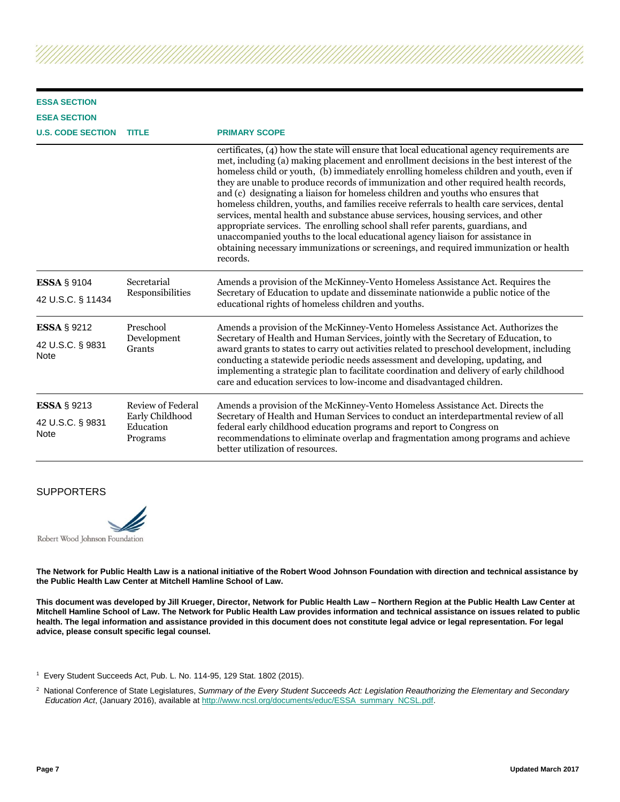| <b>ESSA SECTION</b>                     |                                                               |                                                                                                                                                                                                                                                                                                                                                                                                                                                                                                                                                                                                                                                                                                                                                                                                                                                                                                                         |
|-----------------------------------------|---------------------------------------------------------------|-------------------------------------------------------------------------------------------------------------------------------------------------------------------------------------------------------------------------------------------------------------------------------------------------------------------------------------------------------------------------------------------------------------------------------------------------------------------------------------------------------------------------------------------------------------------------------------------------------------------------------------------------------------------------------------------------------------------------------------------------------------------------------------------------------------------------------------------------------------------------------------------------------------------------|
| <b>ESEA SECTION</b>                     |                                                               |                                                                                                                                                                                                                                                                                                                                                                                                                                                                                                                                                                                                                                                                                                                                                                                                                                                                                                                         |
| <b>U.S. CODE SECTION</b>                | <b>TITLE</b>                                                  | <b>PRIMARY SCOPE</b>                                                                                                                                                                                                                                                                                                                                                                                                                                                                                                                                                                                                                                                                                                                                                                                                                                                                                                    |
|                                         |                                                               | certificates, (4) how the state will ensure that local educational agency requirements are<br>met, including (a) making placement and enrollment decisions in the best interest of the<br>homeless child or youth, (b) immediately enrolling homeless children and youth, even if<br>they are unable to produce records of immunization and other required health records,<br>and (c) designating a liaison for homeless children and youths who ensures that<br>homeless children, youths, and families receive referrals to health care services, dental<br>services, mental health and substance abuse services, housing services, and other<br>appropriate services. The enrolling school shall refer parents, guardians, and<br>unaccompanied youths to the local educational agency liaison for assistance in<br>obtaining necessary immunizations or screenings, and required immunization or health<br>records. |
| <b>ESSA § 9104</b><br>42 U.S.C. § 11434 | Secretarial<br>Responsibilities                               | Amends a provision of the McKinney-Vento Homeless Assistance Act. Requires the<br>Secretary of Education to update and disseminate nationwide a public notice of the<br>educational rights of homeless children and youths.                                                                                                                                                                                                                                                                                                                                                                                                                                                                                                                                                                                                                                                                                             |
| <b>ESSA § 9212</b>                      | Preschool                                                     | Amends a provision of the McKinney-Vento Homeless Assistance Act. Authorizes the<br>Secretary of Health and Human Services, jointly with the Secretary of Education, to<br>award grants to states to carry out activities related to preschool development, including<br>conducting a statewide periodic needs assessment and developing, updating, and<br>implementing a strategic plan to facilitate coordination and delivery of early childhood<br>care and education services to low-income and disadvantaged children.                                                                                                                                                                                                                                                                                                                                                                                            |
| 42 U.S.C. § 9831<br><b>Note</b>         | Development<br>Grants                                         |                                                                                                                                                                                                                                                                                                                                                                                                                                                                                                                                                                                                                                                                                                                                                                                                                                                                                                                         |
| <b>ESSA § 9213</b>                      | Review of Federal<br>Early Childhood<br>Education<br>Programs | Amends a provision of the McKinney-Vento Homeless Assistance Act. Directs the                                                                                                                                                                                                                                                                                                                                                                                                                                                                                                                                                                                                                                                                                                                                                                                                                                           |
| 42 U.S.C. § 9831<br><b>Note</b>         |                                                               | Secretary of Health and Human Services to conduct an interdepartmental review of all<br>federal early childhood education programs and report to Congress on<br>recommendations to eliminate overlap and fragmentation among programs and achieve<br>better utilization of resources.                                                                                                                                                                                                                                                                                                                                                                                                                                                                                                                                                                                                                                   |

#### **SUPPORTERS**



**The Network for Public Health Law is a national initiative of the Robert Wood Johnson Foundation with direction and technical assistance by the Public Health Law Center at Mitchell Hamline School of Law.** 

**This document was developed by Jill Krueger, Director, Network for Public Health Law – Northern Region at the Public Health Law Center at Mitchell Hamline School of Law. The Network for Public Health Law provides information and technical assistance on issues related to public health. The legal information and assistance provided in this document does not constitute legal advice or legal representation. For legal advice, please consult specific legal counsel.**

<sup>&</sup>lt;sup>1</sup> Every Student Succeeds Act, Pub. L. No. 114-95, 129 Stat. 1802 (2015).

<sup>2</sup> National Conference of State Legislatures, *Summary of the Every Student Succeeds Act: Legislation Reauthorizing the Elementary and Secondary Education Act*, (January 2016), available a[t http://www.ncsl.org/documents/educ/ESSA\\_summary\\_NCSL.pdf.](http://www.ncsl.org/documents/educ/ESSA_summary_NCSL.pdf)